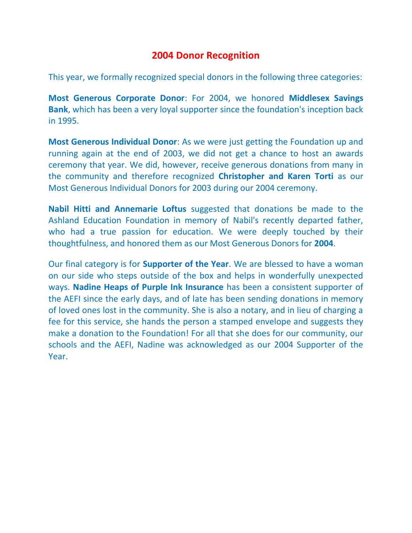## **2004 Donor Recognition**

This year, we formally recognized special donors in the following three categories:

**Most Generous Corporate Donor**: For 2004, we honored **Middlesex Savings Bank**, which has been a very loyal supporter since the foundation's inception back in 1995.

**Most Generous Individual Donor**: As we were just getting the Foundation up and running again at the end of 2003, we did not get a chance to host an awards ceremony that year. We did, however, receive generous donations from many in the community and therefore recognized **Christopher and Karen Torti** as our Most Generous Individual Donors for 2003 during our 2004 ceremony.

**Nabil Hitti and Annemarie Loftus** suggested that donations be made to the Ashland Education Foundation in memory of Nabil's recently departed father, who had a true passion for education. We were deeply touched by their thoughtfulness, and honored them as our Most Generous Donors for **2004**.

Our final category is for **Supporter of the Year**. We are blessed to have a woman on our side who steps outside of the box and helps in wonderfully unexpected ways. **Nadine Heaps of Purple Ink Insurance** has been a consistent supporter of the AEFI since the early days, and of late has been sending donations in memory of loved ones lost in the community. She is also a notary, and in lieu of charging a fee for this service, she hands the person a stamped envelope and suggests they make a donation to the Foundation! For all that she does for our community, our schools and the AEFI, Nadine was acknowledged as our 2004 Supporter of the Year.